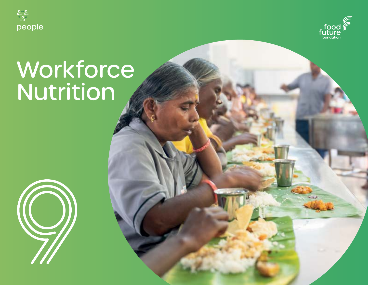



# Workforce Nutrition

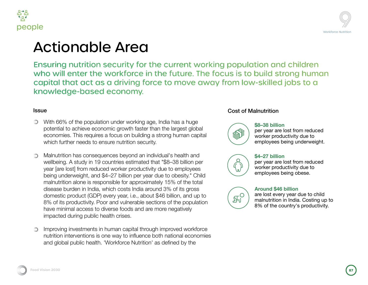

Issue



### e Area

security for the current working population and children workforce in the future. The focus is to build strong human ; a driving force to move away from low-skilled jobs to a economy.

on under working age, India has a huge omic growth faster than the largest global a focus on building a strong human capital h sure nutrition security.

ences beyond an individual's health and bountries estimated that "\$8–38 billion per ed worker productivity due to employees \$4–27 billion per year due to obesity." Child onsible for approximately 15% of the total which costs India around 3% of its gross every year, i.e., about \$46 billion, and up to or and vulnerable sections of the population liverse foods and are more negatively lealth crises.

human capital through improved workforce one way to influence both national economies 'Workforce Nutrition' as defined by the

#### Cost of Malnutrition



#### **\$8–38 billion**

per year are lost from reduced worker productivity due to employees being underweight.



 $\mathbb{H}^{\text{O}}$ 

#### **\$4–27 billion**

per year are lost from reduced worker productivity due to employees being obese.

### **Around \$46 billion**

are lost every year due to child malnutrition in India. Costing up to 8% of the country's productivity.

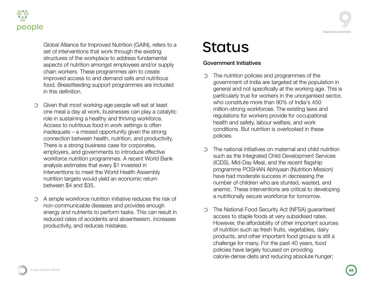



Global Alliance for Improved Nutrition (GAIN), refers to a set of interventions that work through the existing structures of the workplace to address fundamental aspects of nutrition amongst employees and/or supply chain workers. These programmes aim to create improved access to and demand safe and nutritious food. Breastfeeding support programmes are included in this definition.

- Given that most working-age people will eat at least  $\circledcirc$ one meal a day at work, businesses can play a catalytic role in sustaining a healthy and thriving workforce. Access to nutritious food in work settings is often inadequate – a missed opportunity given the strong connection between health, nutrition, and productivity. There is a strong business case for corporates, employers, and governments to introduce effective workforce nutrition programmes. A recent World Bank analysis estimates that every \$1 invested in interventions to meet the World Health Assembly nutrition targets would yield an economic return between \$4 and \$35.
- A simple workforce nutrition initiative reduces the risk of non-communicable diseases and provides enough energy and nutrients to perform tasks. This can result in reduced rates of accidents and absenteeism, increases productivity, and reduces mistakes.

# **Status**

### Government Initiatives

- The nutrition policies and programmes of the ∩ government of India are targeted at the population in general and not specifically at the working age. This is particularly true for workers in the unorganised sector, who constitute more than 90% of India's 450 million-strong workforces. The existing laws and regulations for workers provide for occupational health and safety, labour welfare, and work conditions. But nutrition is overlooked in these policies.
- The national initiatives on maternal and child nutrition ∩ such as the Integrated Child Development Services (ICDS), Mid-Day Meal, and the recent flagship programme POSHAN Abhiyaan (Nutrition Mission) have had moderate success in decreasing the number of children who are stunted, wasted, and anemic. These interventions are critical to developing a nutritionally secure workforce for tomorrow.
- The National Food Security Act (NFSA) guaranteed  $\bigcirc$ access to staple foods at very subsidised rates. However, the affordability of other important sources of nutrition such as fresh fruits, vegetables, dairy products, and other important food groups is still a challenge for many. For the past 40 years, food policies have largely focused on providing calorie-dense diets and reducing absolute hunger;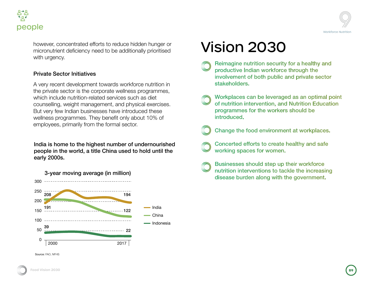



however, concentrated efforts to reduce hidden hunger or micronutrient deficiency need to be additionally prioritised with urgency.

#### Private Sector Initiatives

A very recent development towards workforce nutrition in the private sector is the corporate wellness programmes, which include nutrition-related services such as diet counselling, weight management, and physical exercises. But very few Indian businesses have introduced these wellness programmes. They benefit only about 10% of employees, primarily from the formal sector.

India is home to the highest number of undernourished people in the world, a title China used to hold until the early 2000s.



Source: FAO, NFHS



- Reimagine nutrition security for a healthy and productive Indian workforce through the involvement of both public and private sector stakeholders.
- Workplaces can be leveraged as an optimal point of nutrition intervention, and Nutrition Education programmes for the workers should be introduced.
- Change the food environment at workplaces.
	- Concerted efforts to create healthy and safe working spaces for women.
	- Businesses should step up their workforce nutrition interventions to tackle the increasing disease burden along with the government.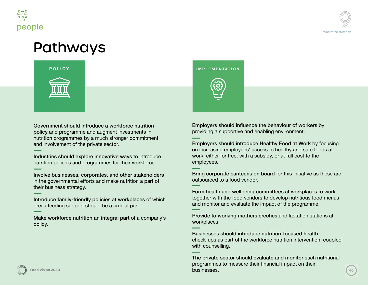



# Pathways



Government should introduce a workforce nutrition policy and programme and augment investments in nutrition programmes by a much stronger commitment and involvement of the private sector.

Industries should explore innovative ways to introduce nutrition policies and programmes for their workforce.

Involve businesses, corporates, and other stakeholders in the governmental efforts and make nutrition a part of their business strategy.

Introduce family-friendly policies at workplaces of which breastfeeding support should be a crucial part.

Make workforce nutrition an integral part of a company's policy.

**POLICY IMPLEMENTATION**



Employers should influence the behaviour of workers by providing a supportive and enabling environment.

Employers should introduce Healthy Food at Work by focusing on increasing employees' access to healthy and safe foods at work, either for free, with a subsidy, or at full cost to the employees.

Bring corporate canteens on board for this initiative as these are outsourced to a food vendor.

Form health and wellbeing committees at workplaces to work together with the food vendors to develop nutritious food menus and monitor and evaluate the impact of the programme.

Provide to working mothers creches and lactation stations at workplaces.

Businesses should introduce nutrition-focused health check-ups as part of the workforce nutrition intervention, coupled with counselling.

**Food Vision 2030 90 Food Vision 20304** The private sector should evaluate and monitor such nutritional programmes to measure their financial impact on their businesses.